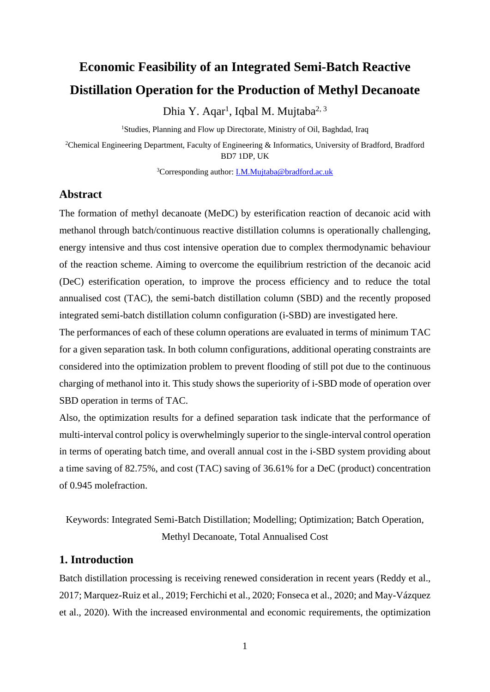# **Economic Feasibility of an Integrated Semi-Batch Reactive Distillation Operation for the Production of Methyl Decanoate**

Dhia Y. Aqar<sup>1</sup>, Iqbal M. Mujtaba<sup>2, 3</sup>

<sup>1</sup>Studies, Planning and Flow up Directorate, Ministry of Oil, Baghdad, Iraq

<sup>2</sup>Chemical Engineering Department, Faculty of Engineering & Informatics, University of Bradford, Bradford BD7 1DP, UK

<sup>3</sup>Corresponding author: **I.M.Mujtaba@bradford.ac.uk** 

# **Abstract**

The formation of methyl decanoate (MeDC) by esterification reaction of decanoic acid with methanol through batch/continuous reactive distillation columns is operationally challenging, energy intensive and thus cost intensive operation due to complex thermodynamic behaviour of the reaction scheme. Aiming to overcome the equilibrium restriction of the decanoic acid (DeC) esterification operation, to improve the process efficiency and to reduce the total annualised cost (TAC), the semi-batch distillation column (SBD) and the recently proposed integrated semi-batch distillation column configuration (i-SBD) are investigated here.

The performances of each of these column operations are evaluated in terms of minimum TAC for a given separation task. In both column configurations, additional operating constraints are considered into the optimization problem to prevent flooding of still pot due to the continuous charging of methanol into it. This study shows the superiority of i-SBD mode of operation over SBD operation in terms of TAC.

Also, the optimization results for a defined separation task indicate that the performance of multi-interval control policy is overwhelmingly superior to the single-interval control operation in terms of operating batch time, and overall annual cost in the i-SBD system providing about a time saving of 82.75%, and cost (TAC) saving of 36.61% for a DeC (product) concentration of 0.945 molefraction.

Keywords: Integrated Semi-Batch Distillation; Modelling; Optimization; Batch Operation, Methyl Decanoate, Total Annualised Cost

# **1. Introduction**

Batch distillation processing is receiving renewed consideration in recent years (Reddy et al., 2017; Marquez-Ruiz et al., 2019; Ferchichi et al., 2020; Fonseca et al., 2020; and May-Vázquez et al., 2020). With the increased environmental and economic requirements, the optimization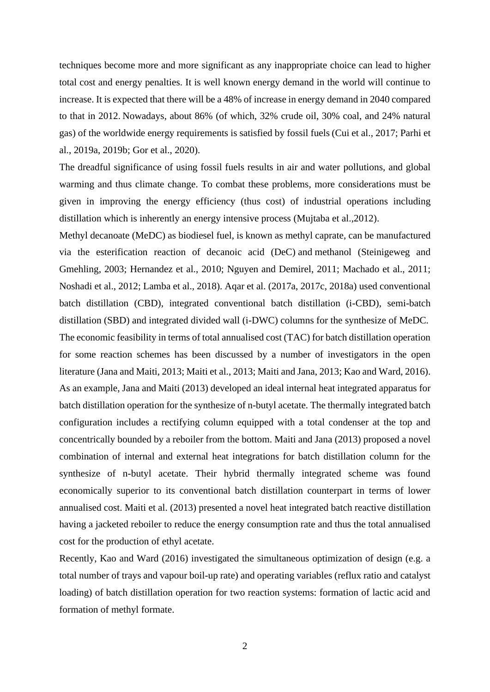techniques become more and more significant as any inappropriate choice can lead to higher total cost and energy penalties. It is well known energy demand in the world will continue to increase. It is expected that there will be a 48% of increase in energy demand in 2040 compared to that in 2012. Nowadays, about 86% (of which, 32% crude oil, 30% coal, and 24% natural gas) of the worldwide energy requirements is satisfied by fossil fuels (Cui et al., 2017; Parhi et al., 2019a, 2019b; Gor et al., 2020).

The dreadful significance of using fossil fuels results in air and water pollutions, and global warming and thus climate change. To combat these problems, more considerations must be given in improving the energy efficiency (thus cost) of industrial operations including distillation which is inherently an energy intensive process (Mujtaba et al.,2012).

Methyl decanoate (MeDC) as biodiesel fuel, is known as methyl caprate, can be manufactured via the esterification reaction of [decanoic acid](https://en.wikipedia.org/wiki/Capric_acid) (DeC) and [methanol](https://en.wikipedia.org/wiki/Ethanol) (Steinigeweg and Gmehling, 2003; Hernandez et al., 2010; Nguyen and Demirel, 2011; Machado et al., 2011; Noshadi et al., 2012; Lamba et al., 2018). Aqar et al. (2017a, 2017c, 2018a) used conventional batch distillation (CBD), integrated conventional batch distillation (i-CBD), semi-batch distillation (SBD) and integrated divided wall (i-DWC) columns for the synthesize of MeDC.

The economic feasibility in terms of total annualised cost (TAC) for batch distillation operation for some reaction schemes has been discussed by a number of investigators in the open literature (Jana and Maiti, 2013; Maiti et al., 2013; Maiti and Jana, 2013; Kao and Ward, 2016). As an example, Jana and Maiti (2013) developed an ideal internal heat integrated apparatus for batch distillation operation for the synthesize of n-butyl acetate. The thermally integrated batch configuration includes a rectifying column equipped with a total condenser at the top and concentrically bounded by a reboiler from the bottom. Maiti and Jana (2013) proposed a novel combination of internal and external heat integrations for batch distillation column for the synthesize of n-butyl acetate. Their hybrid thermally integrated scheme was found economically superior to its conventional batch distillation counterpart in terms of lower annualised cost. Maiti et al. (2013) presented a novel heat integrated batch reactive distillation having a jacketed reboiler to reduce the energy consumption rate and thus the total annualised cost for the production of ethyl acetate.

Recently, Kao and Ward (2016) investigated the simultaneous optimization of design (e.g. a total number of trays and vapour boil-up rate) and operating variables (reflux ratio and catalyst loading) of batch distillation operation for two reaction systems: formation of lactic acid and formation of methyl formate.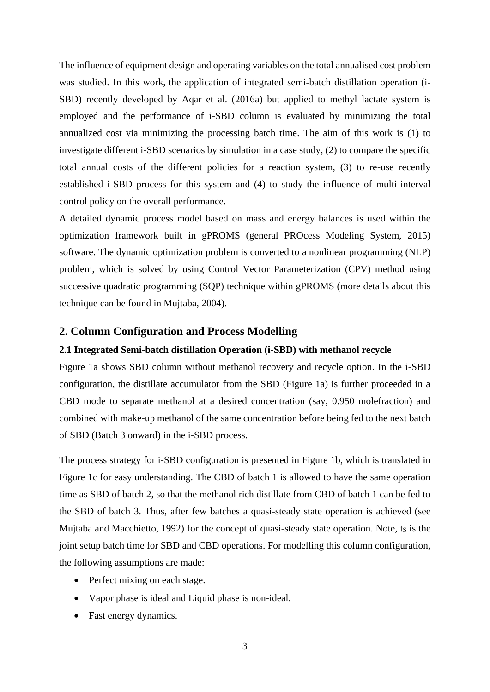The influence of equipment design and operating variables on the total annualised cost problem was studied. In this work, the application of integrated semi-batch distillation operation (i-SBD) recently developed by Aqar et al. (2016a) but applied to methyl lactate system is employed and the performance of i-SBD column is evaluated by minimizing the total annualized cost via minimizing the processing batch time. The aim of this work is (1) to investigate different i-SBD scenarios by simulation in a case study, (2) to compare the specific total annual costs of the different policies for a reaction system, (3) to re-use recently established i-SBD process for this system and (4) to study the influence of multi-interval control policy on the overall performance.

A detailed dynamic process model based on mass and energy balances is used within the optimization framework built in gPROMS (general PROcess Modeling System, 2015) software. The dynamic optimization problem is converted to a nonlinear programming (NLP) problem, which is solved by using Control Vector Parameterization (CPV) method using successive quadratic programming (SQP) technique within gPROMS (more details about this technique can be found in Mujtaba, 2004).

## **2. Column Configuration and Process Modelling**

#### **2.1 Integrated Semi-batch distillation Operation (i-SBD) with methanol recycle**

Figure 1a shows SBD column without methanol recovery and recycle option. In the i-SBD configuration, the distillate accumulator from the SBD (Figure 1a) is further proceeded in a CBD mode to separate methanol at a desired concentration (say, 0.950 molefraction) and combined with make-up methanol of the same concentration before being fed to the next batch of SBD (Batch 3 onward) in the i-SBD process.

The process strategy for i-SBD configuration is presented in Figure 1b, which is translated in Figure 1c for easy understanding. The CBD of batch 1 is allowed to have the same operation time as SBD of batch 2, so that the methanol rich distillate from CBD of batch 1 can be fed to the SBD of batch 3. Thus, after few batches a quasi-steady state operation is achieved (see Mujtaba and Macchietto, 1992) for the concept of quasi-steady state operation. Note,  $t_s$  is the joint setup batch time for SBD and CBD operations. For modelling this column configuration, the following assumptions are made:

- Perfect mixing on each stage.
- Vapor phase is ideal and Liquid phase is non-ideal.
- Fast energy dynamics.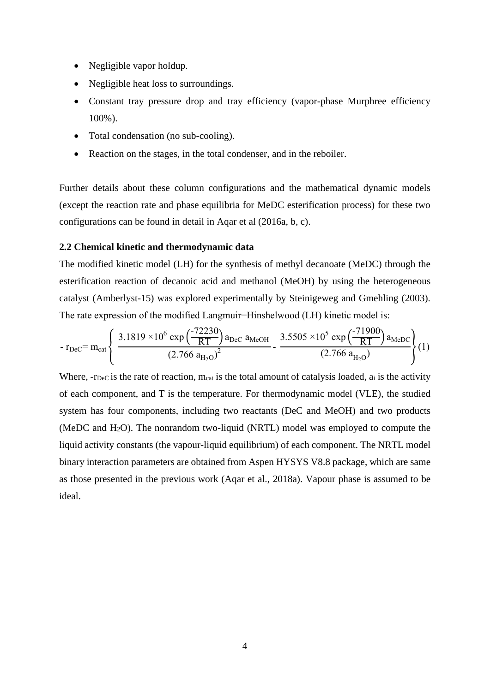- Negligible vapor holdup.
- Negligible heat loss to surroundings.
- Constant tray pressure drop and tray efficiency (vapor-phase Murphree efficiency 100%).
- Total condensation (no sub-cooling).
- Reaction on the stages, in the total condenser, and in the reboiler.

Further details about these column configurations and the mathematical dynamic models (except the reaction rate and phase equilibria for MeDC esterification process) for these two configurations can be found in detail in Aqar et al (2016a, b, c).

## **2.2 Chemical kinetic and thermodynamic data**

The modified kinetic model (LH) for the synthesis of methyl decanoate (MeDC) through the esterification reaction of decanoic acid and methanol (MeOH) by using the heterogeneous catalyst (Amberlyst-15) was explored experimentally by Steinigeweg and Gmehling (2003). The rate expression of the modified Langmuir−Hinshelwood (LH) kinetic model is:

$$
-r_{\text{Dec}} = m_{\text{cat}} \left\{ \frac{3.1819 \times 10^6 \exp\left(\frac{-72230}{RT}\right) a_{\text{Dec}} a_{\text{MeOH}}}{\left(2.766 a_{\text{H}_2\text{O}}\right)^2} - \frac{3.5505 \times 10^5 \exp\left(\frac{-71900}{RT}\right) a_{\text{MeDC}}}{\left(2.766 a_{\text{H}_2\text{O}}\right)} \right\} (1)
$$

Where, -rDeC is the rate of reaction, meat is the total amount of catalysis loaded, at is the activity of each component, and T is the temperature. For thermodynamic model (VLE), the studied system has four components, including two reactants (DeC and MeOH) and two products (MeDC and H2O). The nonrandom two-liquid (NRTL) model was employed to compute the liquid activity constants (the vapour-liquid equilibrium) of each component. The NRTL model binary interaction parameters are obtained from Aspen HYSYS V8.8 package, which are same as those presented in the previous work (Aqar et al., 2018a). Vapour phase is assumed to be ideal.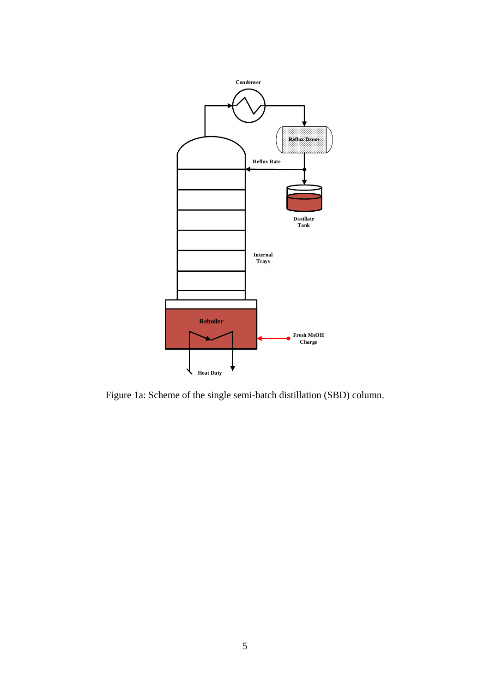

Figure 1a: Scheme of the single semi-batch distillation (SBD) column.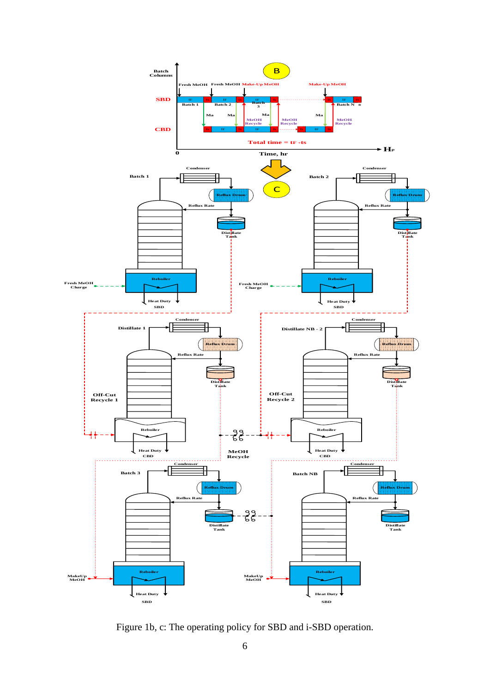

Figure 1b, c: The operating policy for SBD and i-SBD operation.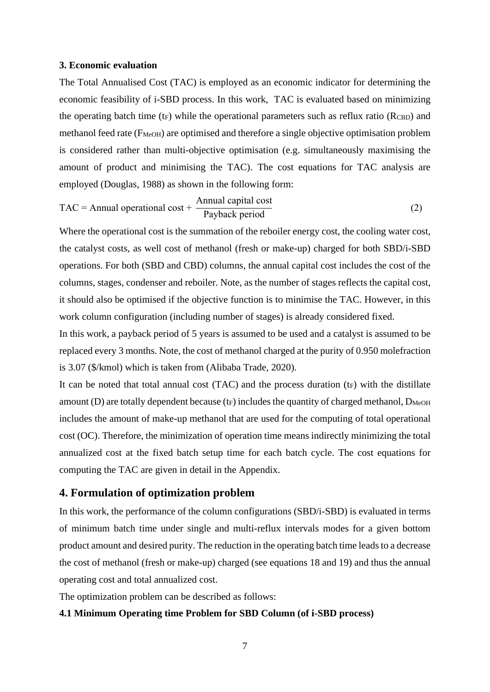#### **3. Economic evaluation**

The Total Annualised Cost (TAC) is employed as an economic indicator for determining the economic feasibility of i-SBD process. In this work, TAC is evaluated based on minimizing the operating batch time  $(t_F)$  while the operational parameters such as reflux ratio ( $R_{\text{CBD}}$ ) and methanol feed rate (F<sub>MeOH</sub>) are optimised and therefore a single objective optimisation problem is considered rather than multi-objective optimisation (e.g. simultaneously maximising the amount of product and minimising the TAC). The cost equations for TAC analysis are employed (Douglas, 1988) as shown in the following form:

$$
TAC = \text{Annual operational cost} + \frac{\text{Annual capital cost}}{\text{Payback period}}
$$
 (2)

Where the operational cost is the summation of the reboiler energy cost, the cooling water cost, the catalyst costs, as well cost of methanol (fresh or make-up) charged for both SBD/i-SBD operations. For both (SBD and CBD) columns, the annual capital cost includes the cost of the columns, stages, condenser and reboiler. Note, as the number of stages reflects the capital cost, it should also be optimised if the objective function is to minimise the TAC. However, in this work column configuration (including number of stages) is already considered fixed.

In this work, a payback period of 5 years is assumed to be used and a catalyst is assumed to be replaced every 3 months. Note, the cost of methanol charged at the purity of 0.950 molefraction is 3.07 (\$/kmol) which is taken from (Alibaba Trade, 2020).

It can be noted that total annual cost  $(TAC)$  and the process duration  $(t_F)$  with the distillate amount (D) are totally dependent because ( $t_F$ ) includes the quantity of charged methanol,  $D_{\text{MeOH}}$ includes the amount of make-up methanol that are used for the computing of total operational cost (OC). Therefore, the minimization of operation time means indirectly minimizing the total annualized cost at the fixed batch setup time for each batch cycle. The cost equations for computing the TAC are given in detail in the Appendix.

## **4. Formulation of optimization problem**

In this work, the performance of the column configurations (SBD/i-SBD) is evaluated in terms of minimum batch time under single and multi-reflux intervals modes for a given bottom product amount and desired purity. The reduction in the operating batch time leads to a decrease the cost of methanol (fresh or make-up) charged (see equations 18 and 19) and thus the annual operating cost and total annualized cost.

The optimization problem can be described as follows:

#### **4.1 Minimum Operating time Problem for SBD Column (of i-SBD process)**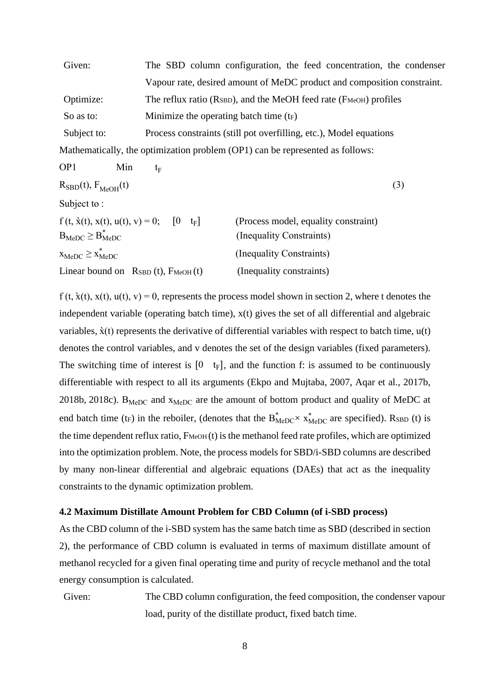| Given:      | The SBD column configuration, the feed concentration, the condenser                          |
|-------------|----------------------------------------------------------------------------------------------|
|             | Vapour rate, desired amount of MeDC product and composition constraint.                      |
| Optimize:   | The reflux ratio ( $R_{\text{SBD}}$ ), and the MeOH feed rate ( $F_{\text{MeOH}}$ ) profiles |
| So as to:   | Minimize the operating batch time $(f_F)$                                                    |
| Subject to: | Process constraints (still pot overfilling, etc.), Model equations                           |
|             | Mathematically, the optimization problem (OP1) can be represented as follows:                |

OP1 Min  $t_{\rm E}$ 

$$
R_{\rm SBD}(t), F_{\rm MeOH}(t) \tag{3}
$$

Subject to :

| $f(t, \dot{x}(t), x(t), u(t), v) = 0;$<br>$t_F$<br>$ 0\rangle$ | (Process model, equality constraint) |
|----------------------------------------------------------------|--------------------------------------|
| $B_{\text{MeDC}} \geq B_{\text{MeDC}}^*$                       | (Inequality Constraints)             |
| $X_{\text{MeDC}} \geq X_{\text{MeDC}}^*$                       | (Inequality Constraints)             |
| Linear bound on $R_{SBD} (t)$ , $F_{MeOH} (t)$                 | (Inequality constraints)             |

 $f(t, \dot{x}(t), x(t), u(t), v) = 0$ , represents the process model shown in section 2, where t denotes the independent variable (operating batch time), x(t) gives the set of all differential and algebraic variables,  $\dot{x}(t)$  represents the derivative of differential variables with respect to batch time,  $u(t)$ denotes the control variables, and v denotes the set of the design variables (fixed parameters). The switching time of interest is  $[0 \ t_F]$ , and the function f: is assumed to be continuously differentiable with respect to all its arguments (Ekpo and Mujtaba, 2007, Aqar et al., 2017b, 2018b, 2018c).  $B_{\text{MeDC}}$  and  $x_{\text{MeDC}}$  are the amount of bottom product and quality of MeDC at end batch time (t<sub>F</sub>) in the reboiler, (denotes that the  $B_{\text{MeDC}}^* \times X_{\text{MeDC}}^*$  are specified). RsBD (t) is the time dependent reflux ratio,  $F_{\text{MeOH}}(t)$  is the methanol feed rate profiles, which are optimized into the optimization problem. Note, the process models for SBD/i-SBD columns are described by many non-linear differential and algebraic equations (DAEs) that act as the inequality constraints to the dynamic optimization problem.

#### **4.2 Maximum Distillate Amount Problem for CBD Column (of i-SBD process)**

As the CBD column of the i-SBD system has the same batch time as SBD (described in section 2), the performance of CBD column is evaluated in terms of maximum distillate amount of methanol recycled for a given final operating time and purity of recycle methanol and the total energy consumption is calculated.

Given: The CBD column configuration, the feed composition, the condenser vapour load, purity of the distillate product, fixed batch time.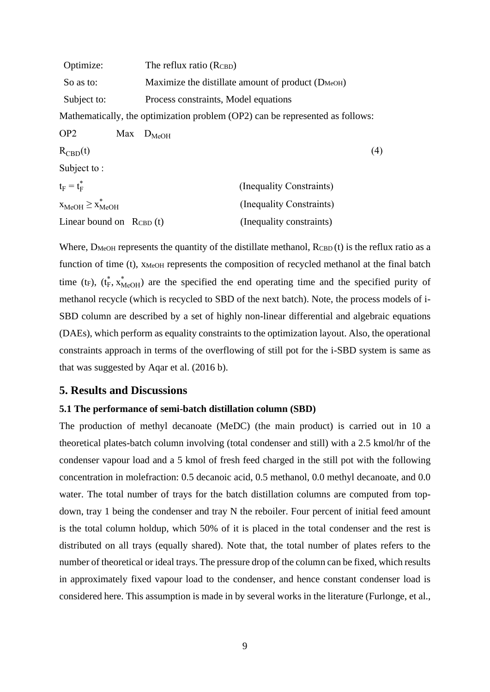| Optimize:                                | The reflux ratio (RCBD)                                                       |  |  |
|------------------------------------------|-------------------------------------------------------------------------------|--|--|
| So as to:                                | Maximize the distillate amount of product (D <sub>MeOH</sub> )                |  |  |
| Subject to:                              | Process constraints, Model equations                                          |  |  |
|                                          | Mathematically, the optimization problem (OP2) can be represented as follows: |  |  |
| OP <sub>2</sub>                          | $Max$ $D_{MeOH}$                                                              |  |  |
| $R_{\text{CBD}}(t)$                      | (4)                                                                           |  |  |
| Subject to:                              |                                                                               |  |  |
| $t_F = t_F^*$                            | (Inequality Constraints)                                                      |  |  |
| $X_{\text{MeOH}} \geq X_{\text{MeOH}}^*$ | (Inequality Constraints)                                                      |  |  |
| Linear bound on $R_{\text{CBD}}(t)$      | (Inequality constraints)                                                      |  |  |

Where,  $D_{\text{MeOH}}$  represents the quantity of the distillate methanol,  $R_{\text{CBD}}(t)$  is the reflux ratio as a function of time (t), XMeOH represents the composition of recycled methanol at the final batch time (t<sub>F</sub>), ( $t_F^*$ ,  $x_{\text{MeOH}}^*$ ) are the specified the end operating time and the specified purity of methanol recycle (which is recycled to SBD of the next batch). Note, the process models of i-SBD column are described by a set of highly non-linear differential and algebraic equations (DAEs), which perform as equality constraints to the optimization layout. Also, the operational constraints approach in terms of the overflowing of still pot for the i-SBD system is same as that was suggested by Aqar et al. (2016 b).

# **5. Results and Discussions**

#### **5.1 The performance of semi-batch distillation column (SBD)**

The production of methyl decanoate (MeDC) (the main product) is carried out in 10 a theoretical plates-batch column involving (total condenser and still) with a 2.5 kmol/hr of the condenser vapour load and a 5 kmol of fresh feed charged in the still pot with the following concentration in molefraction: 0.5 decanoic acid, 0.5 methanol, 0.0 methyl decanoate, and 0.0 water. The total number of trays for the batch distillation columns are computed from topdown, tray 1 being the condenser and tray N the reboiler. Four percent of initial feed amount is the total column holdup, which 50% of it is placed in the total condenser and the rest is distributed on all trays (equally shared). Note that, the total number of plates refers to the number of theoretical or ideal trays. The pressure drop of the column can be fixed, which results in approximately fixed vapour load to the condenser, and hence constant condenser load is considered here. This assumption is made in by several works in the literature (Furlonge, et al.,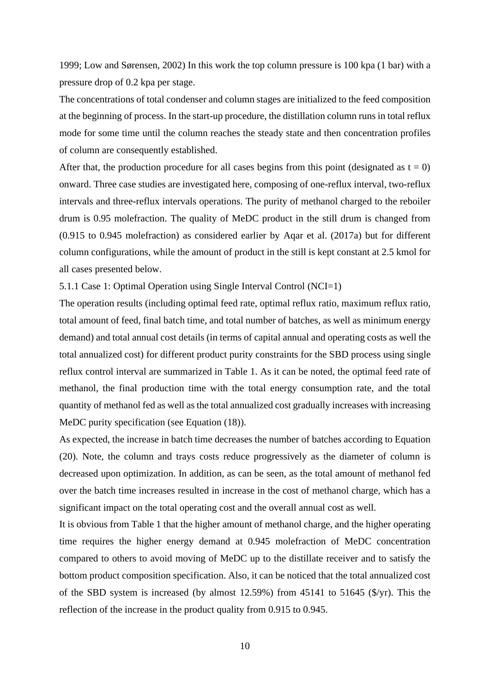1999; Low and Sørensen, 2002) In this work the top column pressure is 100 kpa (1 bar) with a pressure drop of 0.2 kpa per stage.

The concentrations of total condenser and column stages are initialized to the feed composition at the beginning of process. In the start-up procedure, the distillation column runs in total reflux mode for some time until the column reaches the steady state and then concentration profiles of column are consequently established.

After that, the production procedure for all cases begins from this point (designated as  $t = 0$ ) onward. Three case studies are investigated here, composing of one-reflux interval, two-reflux intervals and three-reflux intervals operations. The purity of methanol charged to the reboiler drum is 0.95 molefraction. The quality of MeDC product in the still drum is changed from (0.915 to 0.945 molefraction) as considered earlier by Aqar et al. (2017a) but for different column configurations, while the amount of product in the still is kept constant at 2.5 kmol for all cases presented below.

5.1.1 Case 1: Optimal Operation using Single Interval Control (NCI=1)

The operation results (including optimal feed rate, optimal reflux ratio, maximum reflux ratio, total amount of feed, final batch time, and total number of batches, as well as minimum energy demand) and total annual cost details (in terms of capital annual and operating costs as well the total annualized cost) for different product purity constraints for the SBD process using single reflux control interval are summarized in Table 1. As it can be noted, the optimal feed rate of methanol, the final production time with the total energy consumption rate, and the total quantity of methanol fed as well as the total annualized cost gradually increases with increasing MeDC purity specification (see Equation (18)).

As expected, the increase in batch time decreases the number of batches according to Equation (20). Note, the column and trays costs reduce progressively as the diameter of column is decreased upon optimization. In addition, as can be seen, as the total amount of methanol fed over the batch time increases resulted in increase in the cost of methanol charge, which has a significant impact on the total operating cost and the overall annual cost as well.

It is obvious from Table 1 that the higher amount of methanol charge, and the higher operating time requires the higher energy demand at 0.945 molefraction of MeDC concentration compared to others to avoid moving of MeDC up to the distillate receiver and to satisfy the bottom product composition specification. Also, it can be noticed that the total annualized cost of the SBD system is increased (by almost 12.59%) from 45141 to 51645 (\$/yr). This the reflection of the increase in the product quality from 0.915 to 0.945.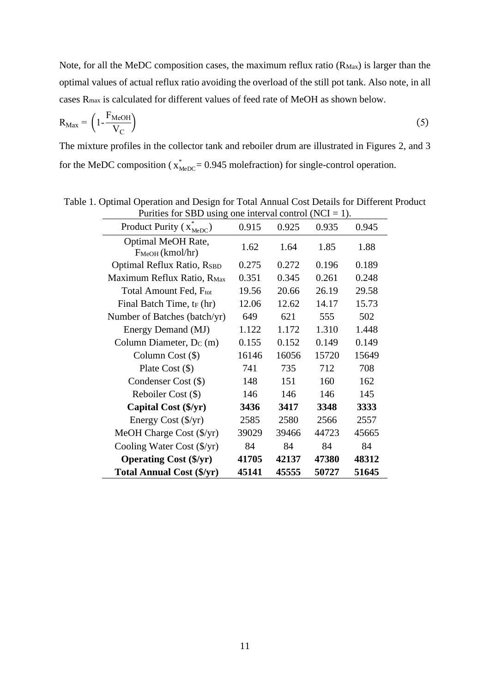Note, for all the MeDC composition cases, the maximum reflux ratio  $(R_{\text{Max}})$  is larger than the optimal values of actual reflux ratio avoiding the overload of the still pot tank. Also note, in all cases Rmax is calculated for different values of feed rate of MeOH as shown below.

$$
R_{\text{Max}} = \left(1 - \frac{F_{\text{MeOH}}}{V_C}\right) \tag{5}
$$

The mixture profiles in the collector tank and reboiler drum are illustrated in Figures 2, and 3 for the MeDC composition ( $x^*_{\text{MeDC}}$  = 0.945 mole fraction) for single-control operation.

| Product Purity $(x_{\text{MeDC}})$         | 0.915 | 0.925 | 0.935 | 0.945 |
|--------------------------------------------|-------|-------|-------|-------|
| Optimal MeOH Rate,<br>$F_{MeOH}$ (kmol/hr) | 1.62  | 1.64  | 1.85  | 1.88  |
| Optimal Reflux Ratio, RSBD                 | 0.275 | 0.272 | 0.196 | 0.189 |
| Maximum Reflux Ratio, RMax                 | 0.351 | 0.345 | 0.261 | 0.248 |
| Total Amount Fed, F <sub>tot</sub>         | 19.56 | 20.66 | 26.19 | 29.58 |
| Final Batch Time, t <sub>F</sub> (hr)      | 12.06 | 12.62 | 14.17 | 15.73 |
| Number of Batches (batch/yr)               | 649   | 621   | 555   | 502   |
| Energy Demand (MJ)                         | 1.122 | 1.172 | 1.310 | 1.448 |
| Column Diameter, $D_C(m)$                  | 0.155 | 0.152 | 0.149 | 0.149 |
| Column Cost $(\$)$                         | 16146 | 16056 | 15720 | 15649 |
| Plate Cost $(\$)$                          | 741   | 735   | 712   | 708   |
| Condenser Cost (\$)                        | 148   | 151   | 160   | 162   |
| Reboiler Cost (\$)                         | 146   | 146   | 146   | 145   |
| Capital Cost (\$/yr)                       | 3436  | 3417  | 3348  | 3333  |
| Energy Cost (\$/yr)                        | 2585  | 2580  | 2566  | 2557  |
| MeOH Charge Cost $(\frac{f}{y})$           | 39029 | 39466 | 44723 | 45665 |
| Cooling Water Cost $(\frac{f}{y})$         | 84    | 84    | 84    | 84    |
| <b>Operating Cost (\$/yr)</b>              | 41705 | 42137 | 47380 | 48312 |
| <b>Total Annual Cost (\$/yr)</b>           | 45141 | 45555 | 50727 | 51645 |

Table 1. Optimal Operation and Design for Total Annual Cost Details for Different Product Purities for SBD using one interval control (NCI = 1).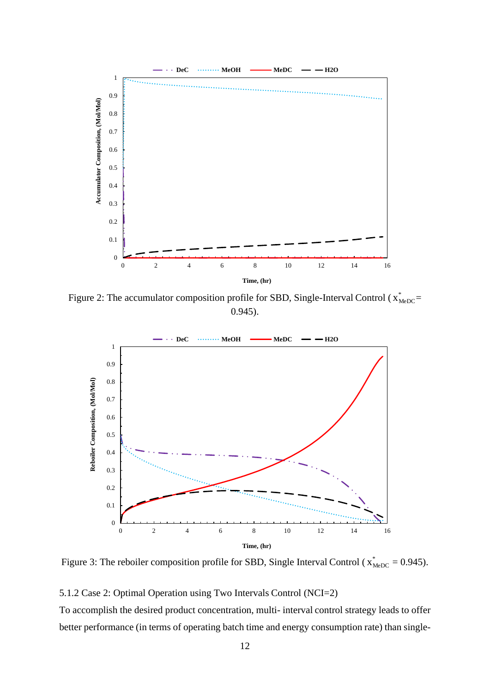

Figure 2: The accumulator composition profile for SBD, Single-Interval Control ( $x^*_{\text{MeDC}}$ 0.945).



Figure 3: The reboiler composition profile for SBD, Single Interval Control ( $x^*_{\text{MeDC}} = 0.945$ ).

## 5.1.2 Case 2: Optimal Operation using Two Intervals Control (NCI=2)

To accomplish the desired product concentration, multi- interval control strategy leads to offer better performance (in terms of operating batch time and energy consumption rate) than single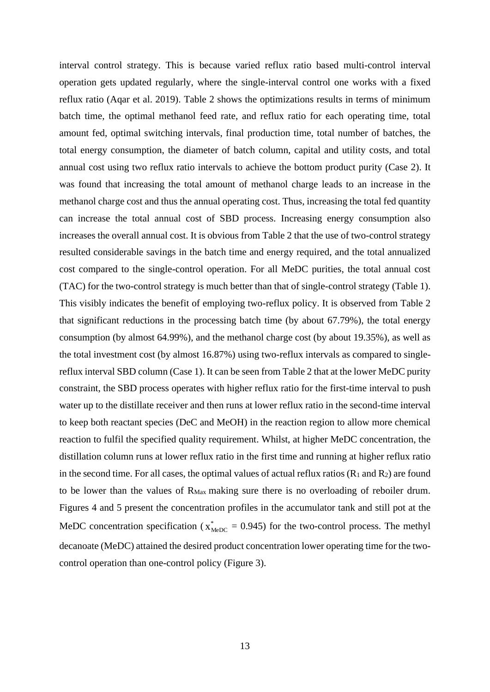interval control strategy. This is because varied reflux ratio based multi-control interval operation gets updated regularly, where the single-interval control one works with a fixed reflux ratio (Aqar et al. 2019). Table 2 shows the optimizations results in terms of minimum batch time, the optimal methanol feed rate, and reflux ratio for each operating time, total amount fed, optimal switching intervals, final production time, total number of batches, the total energy consumption, the diameter of batch column, capital and utility costs, and total annual cost using two reflux ratio intervals to achieve the bottom product purity (Case 2). It was found that increasing the total amount of methanol charge leads to an increase in the methanol charge cost and thus the annual operating cost. Thus, increasing the total fed quantity can increase the total annual cost of SBD process. Increasing energy consumption also increases the overall annual cost. It is obvious from Table 2 that the use of two-control strategy resulted considerable savings in the batch time and energy required, and the total annualized cost compared to the single-control operation. For all MeDC purities, the total annual cost (TAC) for the two-control strategy is much better than that of single-control strategy (Table 1). This visibly indicates the benefit of employing two-reflux policy. It is observed from Table 2 that significant reductions in the processing batch time (by about 67.79%), the total energy consumption (by almost 64.99%), and the methanol charge cost (by about 19.35%), as well as the total investment cost (by almost 16.87%) using two-reflux intervals as compared to singlereflux interval SBD column (Case 1). It can be seen from Table 2 that at the lower MeDC purity constraint, the SBD process operates with higher reflux ratio for the first-time interval to push water up to the distillate receiver and then runs at lower reflux ratio in the second-time interval to keep both reactant species (DeC and MeOH) in the reaction region to allow more chemical reaction to fulfil the specified quality requirement. Whilst, at higher MeDC concentration, the distillation column runs at lower reflux ratio in the first time and running at higher reflux ratio in the second time. For all cases, the optimal values of actual reflux ratios  $(R_1 \text{ and } R_2)$  are found to be lower than the values of RMax making sure there is no overloading of reboiler drum. Figures 4 and 5 present the concentration profiles in the accumulator tank and still pot at the MeDC concentration specification ( $x_{\text{MeDC}}^* = 0.945$ ) for the two-control process. The methyl decanoate (MeDC) attained the desired product concentration lower operating time for the twocontrol operation than one-control policy (Figure 3).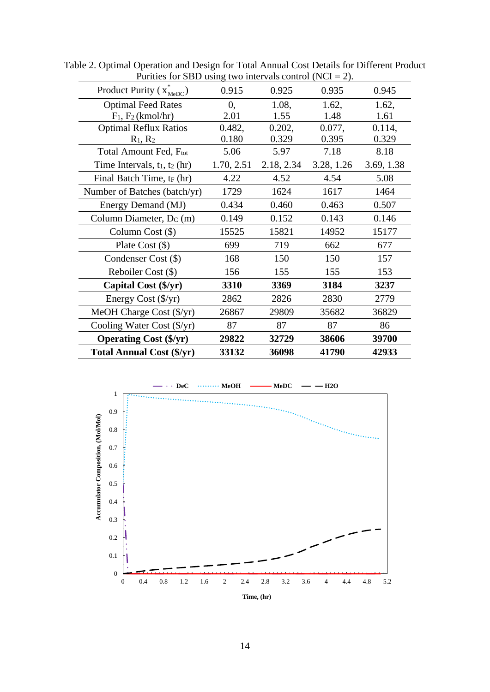| 0.935<br>1.62,<br>1.48<br>0.077, | 0.945<br>1.62,<br>1.61 |
|----------------------------------|------------------------|
|                                  |                        |
|                                  |                        |
|                                  |                        |
|                                  | 0.114,                 |
| 0.395                            | 0.329                  |
| 7.18                             | 8.18                   |
| 2.18, 2.34<br>3.28, 1.26         | 3.69, 1.38             |
| 4.54                             | 5.08                   |
| 1617                             | 1464                   |
| 0.463                            | 0.507                  |
| 0.143                            | 0.146                  |
| 14952                            | 15177                  |
| 662                              | 677                    |
| 150                              | 157                    |
| 155                              | 153                    |
| 3184                             | 3237                   |
| 2830                             | 2779                   |
| 35682                            | 36829                  |
| 87                               | 86                     |
| 38606                            | 39700                  |
| 41790                            | 42933                  |
|                                  |                        |

Table 2. Optimal Operation and Design for Total Annual Cost Details for Different Product Purities for SBD using two intervals control (NCI = 2).

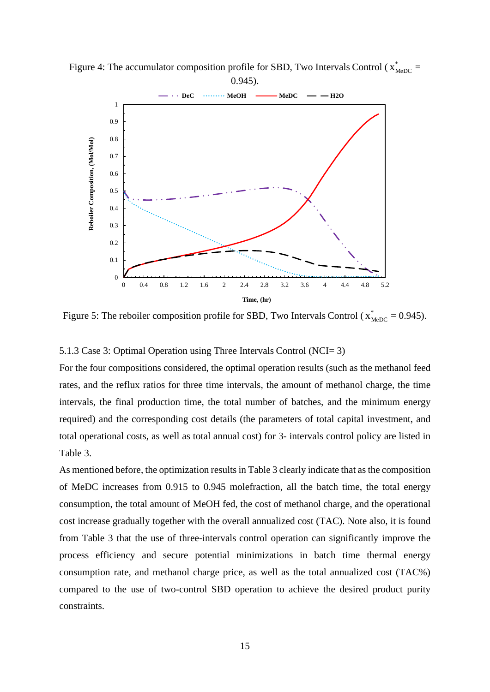

Figure 4: The accumulator composition profile for SBD, Two Intervals Control ( $x^*_{\text{MeDC}}$  = 0.945).

Figure 5: The reboiler composition profile for SBD, Two Intervals Control ( $x^*_{\text{MeDC}} = 0.945$ ).

#### 5.1.3 Case 3: Optimal Operation using Three Intervals Control (NCI= 3)

For the four compositions considered, the optimal operation results (such as the methanol feed rates, and the reflux ratios for three time intervals, the amount of methanol charge, the time intervals, the final production time, the total number of batches, and the minimum energy required) and the corresponding cost details (the parameters of total capital investment, and total operational costs, as well as total annual cost) for 3- intervals control policy are listed in Table 3.

As mentioned before, the optimization results in Table 3 clearly indicate that as the composition of MeDC increases from 0.915 to 0.945 molefraction, all the batch time, the total energy consumption, the total amount of MeOH fed, the cost of methanol charge, and the operational cost increase gradually together with the overall annualized cost (TAC). Note also, it is found from Table 3 that the use of three-intervals control operation can significantly improve the process efficiency and secure potential minimizations in batch time thermal energy consumption rate, and methanol charge price, as well as the total annualized cost (TAC%) compared to the use of two-control SBD operation to achieve the desired product purity constraints.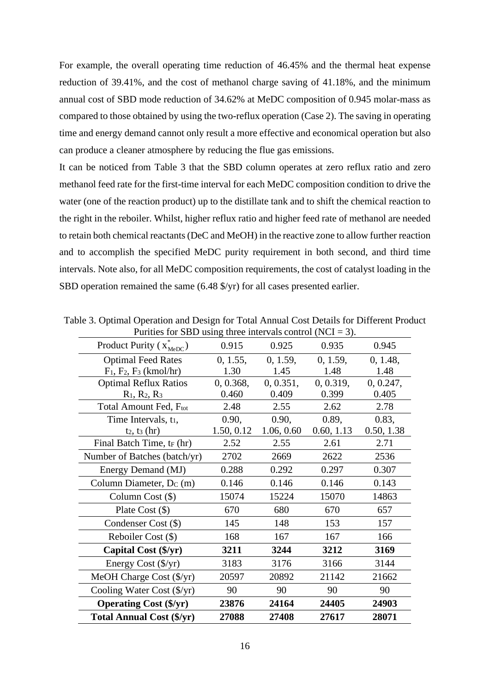For example, the overall operating time reduction of 46.45% and the thermal heat expense reduction of 39.41%, and the cost of methanol charge saving of 41.18%, and the minimum annual cost of SBD mode reduction of 34.62% at MeDC composition of 0.945 molar-mass as compared to those obtained by using the two-reflux operation (Case 2). The saving in operating time and energy demand cannot only result a more effective and economical operation but also can produce a cleaner atmosphere by reducing the flue gas emissions.

It can be noticed from Table 3 that the SBD column operates at zero reflux ratio and zero methanol feed rate for the first-time interval for each MeDC composition condition to drive the water (one of the reaction product) up to the distillate tank and to shift the chemical reaction to the right in the reboiler. Whilst, higher reflux ratio and higher feed rate of methanol are needed to retain both chemical reactants (DeC and MeOH) in the reactive zone to allow further reaction and to accomplish the specified MeDC purity requirement in both second, and third time intervals. Note also, for all MeDC composition requirements, the cost of catalyst loading in the SBD operation remained the same (6.48 \$/yr) for all cases presented earlier.

| Purities for SBD using three intervals control (NCI = 3). |            |            |            |            |
|-----------------------------------------------------------|------------|------------|------------|------------|
| Product Purity $(x_{\text{MeDC}}^*)$                      | 0.915      | 0.925      | 0.935      | 0.945      |
| <b>Optimal Feed Rates</b>                                 | 0, 1.55,   | 0, 1.59,   | 0, 1.59,   | 0, 1.48,   |
| $F_1$ , $F_2$ , $F_3$ (kmol/hr)                           | 1.30       | 1.45       | 1.48       | 1.48       |
| <b>Optimal Reflux Ratios</b>                              | 0, 0.368,  | 0, 0.351,  | 0, 0.319,  | 0, 0.247,  |
| $R_1, R_2, R_3$                                           | 0.460      | 0.409      | 0.399      | 0.405      |
| Total Amount Fed, Ftot                                    | 2.48       | 2.55       | 2.62       | 2.78       |
| Time Intervals, t <sub>1</sub> ,                          | 0.90,      | 0.90,      | 0.89,      | 0.83,      |
| $t_2$ , $t_3$ (hr)                                        | 1.50, 0.12 | 1.06, 0.60 | 0.60, 1.13 | 0.50, 1.38 |
| Final Batch Time, t <sub>F</sub> (hr)                     | 2.52       | 2.55       | 2.61       | 2.71       |
| Number of Batches (batch/yr)                              | 2702       | 2669       | 2622       | 2536       |
| Energy Demand (MJ)                                        | 0.288      | 0.292      | 0.297      | 0.307      |
| Column Diameter, D <sub>C</sub> (m)                       | 0.146      | 0.146      | 0.146      | 0.143      |
| Column Cost $(\$)$                                        | 15074      | 15224      | 15070      | 14863      |
| Plate Cost $(\$)$                                         | 670        | 680        | 670        | 657        |
| Condenser Cost (\$)                                       | 145        | 148        | 153        | 157        |
| Reboiler Cost (\$)                                        | 168        | 167        | 167        | 166        |
| Capital Cost (\$/yr)                                      | 3211       | 3244       | 3212       | 3169       |
| Energy Cost (\$/yr)                                       | 3183       | 3176       | 3166       | 3144       |
| MeOH Charge Cost $(\frac{f}{y})$                          | 20597      | 20892      | 21142      | 21662      |
| Cooling Water Cost $(\frac{f}{f})$                        | 90         | 90         | 90         | 90         |
| <b>Operating Cost (\$/yr)</b>                             | 23876      | 24164      | 24405      | 24903      |
| <b>Total Annual Cost (\$/yr)</b>                          | 27088      | 27408      | 27617      | 28071      |

Table 3. Optimal Operation and Design for Total Annual Cost Details for Different Product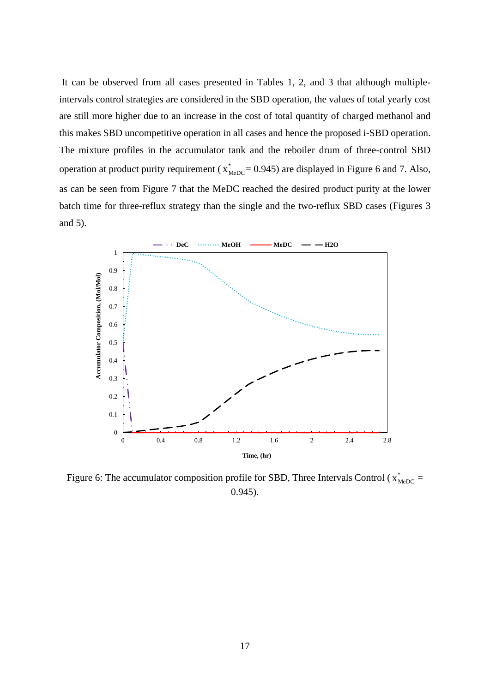It can be observed from all cases presented in Tables 1, 2, and 3 that although multipleintervals control strategies are considered in the SBD operation, the values of total yearly cost are still more higher due to an increase in the cost of total quantity of charged methanol and this makes SBD uncompetitive operation in all cases and hence the proposed i-SBD operation. The mixture profiles in the accumulator tank and the reboiler drum of three-control SBD operation at product purity requirement ( $x^*_{\text{MeDC}}$  = 0.945) are displayed in Figure 6 and 7. Also, as can be seen from Figure 7 that the MeDC reached the desired product purity at the lower batch time for three-reflux strategy than the single and the two-reflux SBD cases (Figures 3 and 5).



Figure 6: The accumulator composition profile for SBD, Three Intervals Control ( $x^*_{\text{MeDC}}$  = 0.945).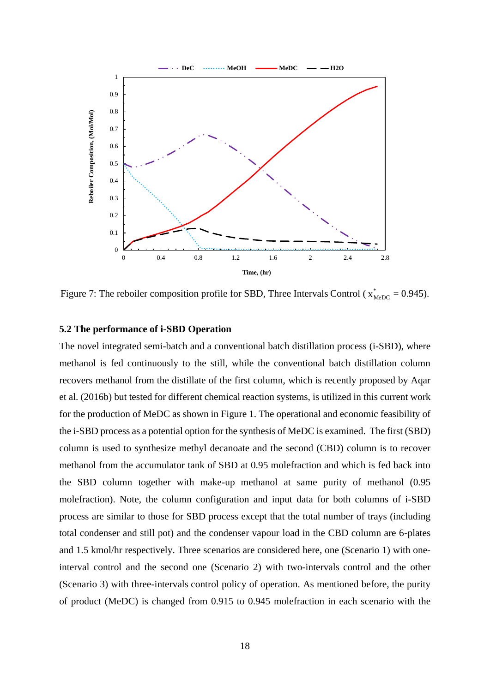

Figure 7: The reboiler composition profile for SBD, Three Intervals Control ( $x^*_{\text{MeDC}} = 0.945$ ).

## **5.2 The performance of i-SBD Operation**

The novel integrated semi-batch and a conventional batch distillation process (i-SBD), where methanol is fed continuously to the still, while the conventional batch distillation column recovers methanol from the distillate of the first column, which is recently proposed by Aqar et al. (2016b) but tested for different chemical reaction systems, is utilized in this current work for the production of MeDC as shown in Figure 1. The operational and economic feasibility of the i-SBD process as a potential option for the synthesis of MeDC is examined. The first (SBD) column is used to synthesize methyl decanoate and the second (CBD) column is to recover methanol from the accumulator tank of SBD at 0.95 molefraction and which is fed back into the SBD column together with make-up methanol at same purity of methanol (0.95 molefraction). Note, the column configuration and input data for both columns of i-SBD process are similar to those for SBD process except that the total number of trays (including total condenser and still pot) and the condenser vapour load in the CBD column are 6-plates and 1.5 kmol/hr respectively. Three scenarios are considered here, one (Scenario 1) with oneinterval control and the second one (Scenario 2) with two-intervals control and the other (Scenario 3) with three-intervals control policy of operation. As mentioned before, the purity of product (MeDC) is changed from 0.915 to 0.945 molefraction in each scenario with the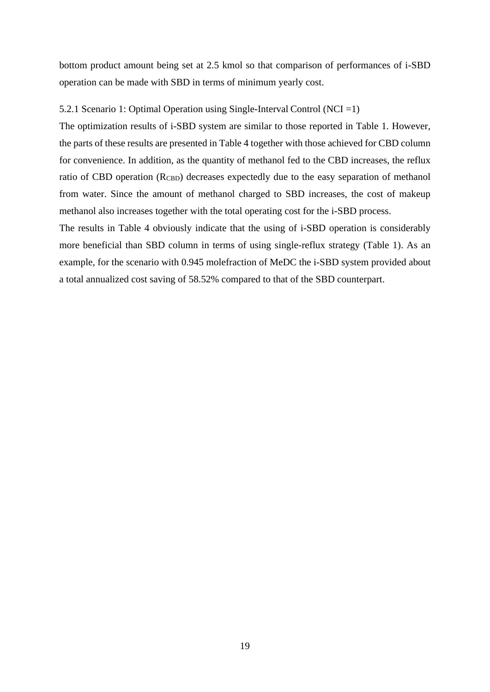bottom product amount being set at 2.5 kmol so that comparison of performances of i-SBD operation can be made with SBD in terms of minimum yearly cost.

## 5.2.1 Scenario 1: Optimal Operation using Single-Interval Control (NCI =1)

The optimization results of i-SBD system are similar to those reported in Table 1. However, the parts of these results are presented in Table 4 together with those achieved for CBD column for convenience. In addition, as the quantity of methanol fed to the CBD increases, the reflux ratio of CBD operation (R<sub>CBD</sub>) decreases expectedly due to the easy separation of methanol from water. Since the amount of methanol charged to SBD increases, the cost of makeup methanol also increases together with the total operating cost for the i-SBD process.

The results in Table 4 obviously indicate that the using of i-SBD operation is considerably more beneficial than SBD column in terms of using single-reflux strategy (Table 1). As an example, for the scenario with 0.945 molefraction of MeDC the i-SBD system provided about a total annualized cost saving of 58.52% compared to that of the SBD counterpart.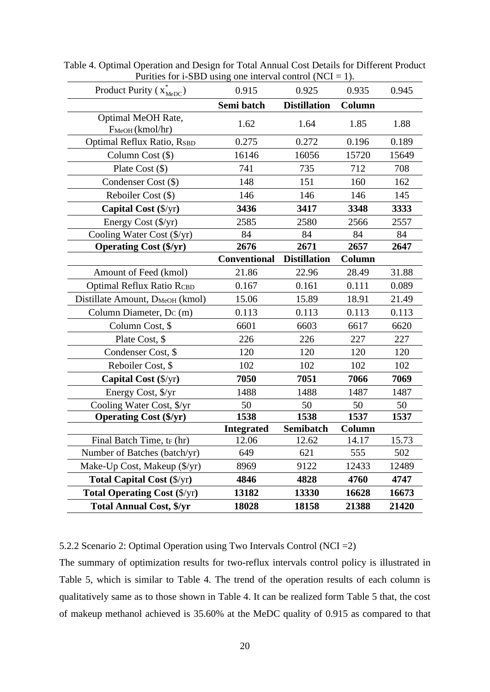| Product Purity $(x_{\text{MeDC}}^*)$        | 0.915               | 0.925               | 0.935         | 0.945 |
|---------------------------------------------|---------------------|---------------------|---------------|-------|
|                                             | Semi batch          | <b>Distillation</b> | <b>Column</b> |       |
| Optimal MeOH Rate,<br>$F_{MeOH}$ (kmol/hr)  | 1.62                | 1.64                | 1.85          | 1.88  |
| <b>Optimal Reflux Ratio, RSBD</b>           | 0.275               | 0.272               | 0.196         | 0.189 |
| Column Cost $(\$)$                          | 16146               | 16056               | 15720         | 15649 |
| Plate Cost $(\$)$                           | 741                 | 735                 | 712           | 708   |
| Condenser Cost (\$)                         | 148                 | 151                 | 160           | 162   |
| Reboiler Cost (\$)                          | 146                 | 146                 | 146           | 145   |
| Capital Cost (\$/yr)                        | 3436                | 3417                | 3348          | 3333  |
| Energy Cost (\$/yr)                         | 2585                | 2580                | 2566          | 2557  |
| Cooling Water Cost (\$/yr)                  | 84                  | 84                  | 84            | 84    |
| <b>Operating Cost (\$/yr)</b>               | 2676                | 2671                | 2657          | 2647  |
|                                             | <b>Conventional</b> | <b>Distillation</b> | Column        |       |
| Amount of Feed (kmol)                       | 21.86               | 22.96               | 28.49         | 31.88 |
| Optimal Reflux Ratio RCBD                   | 0.167               | 0.161               | 0.111         | 0.089 |
| Distillate Amount, D <sub>MeOH</sub> (kmol) | 15.06               | 15.89               | 18.91         | 21.49 |
| Column Diameter, $D_C(m)$                   | 0.113               | 0.113               | 0.113         | 0.113 |
| Column Cost, \$                             | 6601                | 6603                | 6617          | 6620  |
| Plate Cost, \$                              | 226                 | 226                 | 227           | 227   |
| Condenser Cost, \$                          | 120                 | 120                 | 120           | 120   |
| Reboiler Cost, \$                           | 102                 | 102                 | 102           | 102   |
| Capital Cost (\$/yr)                        | 7050                | 7051                | 7066          | 7069  |
| Energy Cost, \$/yr                          | 1488                | 1488                | 1487          | 1487  |
| Cooling Water Cost, \$/yr                   | 50                  | 50                  | 50            | 50    |
| <b>Operating Cost (\$/yr)</b>               | 1538                | 1538                | 1537          | 1537  |
|                                             | <b>Integrated</b>   | Semibatch           | Column        |       |
| Final Batch Time, tr (hr)                   | 12.06               | 12.62               | 14.17         | 15.73 |
| Number of Batches (batch/yr)                | 649                 | 621                 | 555           | 502   |
| Make-Up Cost, Makeup (\$/yr)                | 8969                | 9122                | 12433         | 12489 |
| <b>Total Capital Cost (\$/yr)</b>           | 4846                | 4828                | 4760          | 4747  |
| <b>Total Operating Cost (\$/yr)</b>         | 13182               | 13330               | 16628         | 16673 |
| <b>Total Annual Cost, \$/yr</b>             | 18028               | 18158               | 21388         | 21420 |

Table 4. Optimal Operation and Design for Total Annual Cost Details for Different Product Purities for i-SBD using one interval control  $(NCI = 1)$ .

5.2.2 Scenario 2: Optimal Operation using Two Intervals Control (NCI =2)

The summary of optimization results for two-reflux intervals control policy is illustrated in Table 5, which is similar to Table 4. The trend of the operation results of each column is qualitatively same as to those shown in Table 4. It can be realized form Table 5 that, the cost of makeup methanol achieved is 35.60% at the MeDC quality of 0.915 as compared to that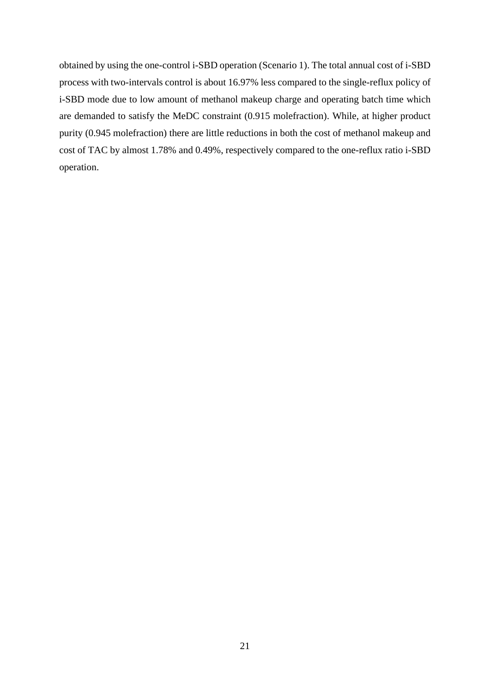obtained by using the one-control i-SBD operation (Scenario 1). The total annual cost of i-SBD process with two-intervals control is about 16.97% less compared to the single-reflux policy of i-SBD mode due to low amount of methanol makeup charge and operating batch time which are demanded to satisfy the MeDC constraint (0.915 molefraction). While, at higher product purity (0.945 molefraction) there are little reductions in both the cost of methanol makeup and cost of TAC by almost 1.78% and 0.49%, respectively compared to the one-reflux ratio i-SBD operation.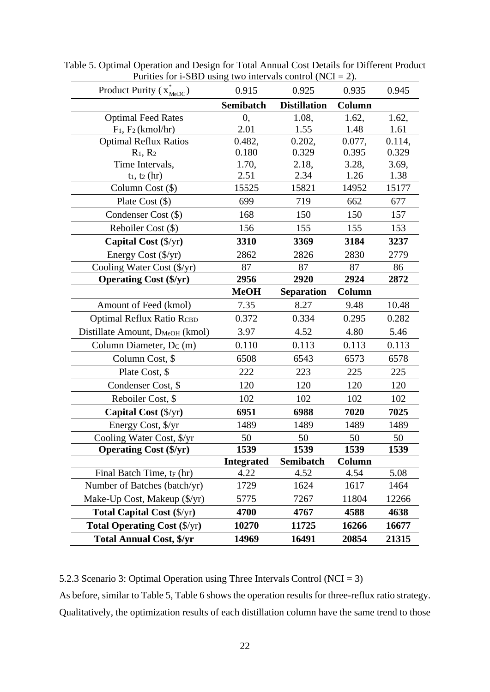| Product Purity $(x_{\text{MeDC}}^{\dagger})$ | 0.915             | 0.925               | 0.935  | 0.945  |
|----------------------------------------------|-------------------|---------------------|--------|--------|
|                                              | Semibatch         | <b>Distillation</b> | Column |        |
| <b>Optimal Feed Rates</b>                    | 0,                | 1.08,               | 1.62,  | 1.62,  |
| $F_1$ , $F_2$ (kmol/hr)                      | 2.01              | 1.55                | 1.48   | 1.61   |
| <b>Optimal Reflux Ratios</b>                 | 0.482,            | 0.202,              | 0.077, | 0.114, |
| $R_1, R_2$                                   | 0.180             | 0.329               | 0.395  | 0.329  |
| Time Intervals,                              | 1.70,             | 2.18,               | 3.28,  | 3.69,  |
| $t_1$ , $t_2$ (hr)                           | 2.51              | 2.34                | 1.26   | 1.38   |
| Column Cost (\$)                             | 15525             | 15821               | 14952  | 15177  |
| Plate Cost $(\$)$                            | 699               | 719                 | 662    | 677    |
| Condenser Cost (\$)                          | 168               | 150                 | 150    | 157    |
| Reboiler Cost (\$)                           | 156               | 155                 | 155    | 153    |
| Capital Cost (\$/yr)                         | 3310              | 3369                | 3184   | 3237   |
| Energy Cost (\$/yr)                          | 2862              | 2826                | 2830   | 2779   |
| Cooling Water Cost (\$/yr)                   | 87                | 87                  | 87     | 86     |
| <b>Operating Cost (\$/yr)</b>                | 2956              | 2920                | 2924   | 2872   |
|                                              | <b>MeOH</b>       | <b>Separation</b>   | Column |        |
| Amount of Feed (kmol)                        | 7.35              | 8.27                | 9.48   | 10.48  |
| <b>Optimal Reflux Ratio RCBD</b>             | 0.372             | 0.334               | 0.295  | 0.282  |
| Distillate Amount, D <sub>MeOH</sub> (kmol)  | 3.97              | 4.52                | 4.80   | 5.46   |
| Column Diameter, Dc (m)                      | 0.110             | 0.113               | 0.113  | 0.113  |
| Column Cost, \$                              | 6508              | 6543                | 6573   | 6578   |
| Plate Cost, \$                               | 222               | 223                 | 225    | 225    |
| Condenser Cost, \$                           | 120               | 120                 | 120    | 120    |
| Reboiler Cost, \$                            | 102               | 102                 | 102    | 102    |
| Capital Cost $(\frac{C}{Y})$                 | 6951              | 6988                | 7020   | 7025   |
| Energy Cost, \$/yr                           | 1489              | 1489                | 1489   | 1489   |
| Cooling Water Cost, \$/yr                    | 50                | 50                  | 50     | 50     |
| <b>Operating Cost (\$/yr)</b>                | 1539              | 1539                | 1539   | 1539   |
|                                              | <b>Integrated</b> | Semibatch           | Column |        |
| Final Batch Time, tr (hr)                    | 4.22              | 4.52                | 4.54   | 5.08   |
| Number of Batches (batch/yr)                 | 1729              | 1624                | 1617   | 1464   |
| Make-Up Cost, Makeup (\$/yr)                 | 5775              | 7267                | 11804  | 12266  |
| <b>Total Capital Cost (\$/yr)</b>            | 4700              | 4767                | 4588   | 4638   |
| <b>Total Operating Cost (\$/yr)</b>          | 10270             | 11725               | 16266  | 16677  |
| <b>Total Annual Cost, \$/yr</b>              | 14969             | 16491               | 20854  | 21315  |

Table 5. Optimal Operation and Design for Total Annual Cost Details for Different Product Purities for i-SBD using two intervals control (NCI = 2).

5.2.3 Scenario 3: Optimal Operation using Three Intervals Control (NCI = 3)

As before, similar to Table 5, Table 6 shows the operation results for three-reflux ratio strategy. Qualitatively, the optimization results of each distillation column have the same trend to those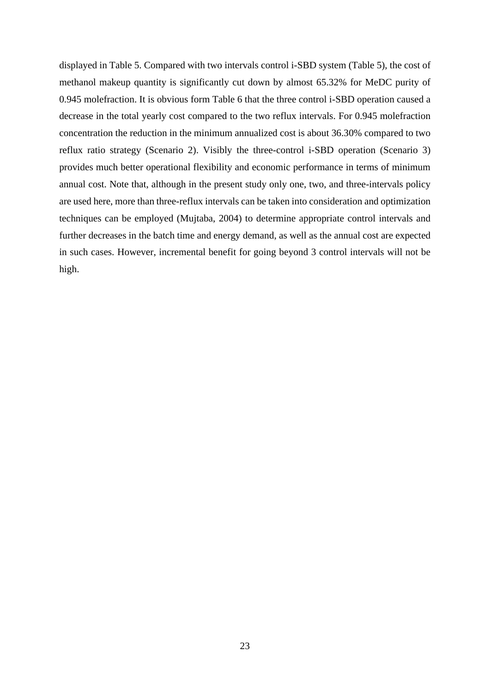displayed in Table 5. Compared with two intervals control i-SBD system (Table 5), the cost of methanol makeup quantity is significantly cut down by almost 65.32% for MeDC purity of 0.945 molefraction. It is obvious form Table 6 that the three control i-SBD operation caused a decrease in the total yearly cost compared to the two reflux intervals. For 0.945 molefraction concentration the reduction in the minimum annualized cost is about 36.30% compared to two reflux ratio strategy (Scenario 2). Visibly the three-control i-SBD operation (Scenario 3) provides much better operational flexibility and economic performance in terms of minimum annual cost. Note that, although in the present study only one, two, and three-intervals policy are used here, more than three-reflux intervals can be taken into consideration and optimization techniques can be employed (Mujtaba, 2004) to determine appropriate control intervals and further decreases in the batch time and energy demand, as well as the annual cost are expected in such cases. However, incremental benefit for going beyond 3 control intervals will not be high.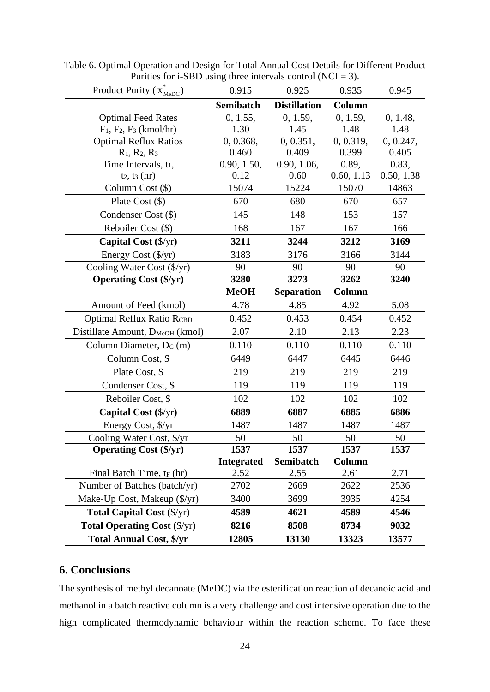| Product Purity $(x_{\text{MeDC}}^{\dagger})$ | 0.915             | 0.925               | 0.935      | 0.945      |
|----------------------------------------------|-------------------|---------------------|------------|------------|
|                                              | Semibatch         | <b>Distillation</b> | Column     |            |
| <b>Optimal Feed Rates</b>                    | 0, 1.55,          | 0, 1.59,            | 0, 1.59,   | 0, 1.48,   |
| $F_1, F_2, F_3$ (kmol/hr)                    | 1.30              | 1.45                | 1.48       | 1.48       |
| <b>Optimal Reflux Ratios</b>                 | 0, 0.368,         | 0, 0.351,           | 0, 0.319,  | 0, 0.247,  |
| $R_1, R_2, R_3$                              | 0.460             | 0.409               | 0.399      | 0.405      |
| Time Intervals, t <sub>1</sub> ,             | 0.90, 1.50,       | 0.90, 1.06,         | 0.89,      | 0.83,      |
| $t_2$ , $t_3$ (hr)                           | 0.12              | 0.60                | 0.60, 1.13 | 0.50, 1.38 |
| Column Cost (\$)                             | 15074             | 15224               | 15070      | 14863      |
| Plate Cost $(\$)$                            | 670               | 680                 | 670        | 657        |
| Condenser Cost (\$)                          | 145               | 148                 | 153        | 157        |
| Reboiler Cost (\$)                           | 168               | 167                 | 167        | 166        |
| Capital Cost $(\frac{5}{yr})$                | 3211              | 3244                | 3212       | 3169       |
| Energy Cost (\$/yr)                          | 3183              | 3176                | 3166       | 3144       |
| Cooling Water Cost $(\frac{f}{x})$           | 90                | 90                  | 90         | 90         |
| <b>Operating Cost (\$/yr)</b>                | 3280              | 3273                | 3262       | 3240       |
|                                              | <b>MeOH</b>       | <b>Separation</b>   | Column     |            |
| Amount of Feed (kmol)                        | 4.78              | 4.85                | 4.92       | 5.08       |
| <b>Optimal Reflux Ratio RCBD</b>             | 0.452             | 0.453               | 0.454      | 0.452      |
| Distillate Amount, D <sub>MeOH</sub> (kmol)  | 2.07              | 2.10                | 2.13       | 2.23       |
| Column Diameter, Dc (m)                      | 0.110             | 0.110               | 0.110      | 0.110      |
| Column Cost, \$                              | 6449              | 6447                | 6445       | 6446       |
| Plate Cost, \$                               | 219               | 219                 | 219        | 219        |
| Condenser Cost, \$                           | 119               | 119                 | 119        | 119        |
| Reboiler Cost, \$                            | 102               | 102                 | 102        | 102        |
| Capital Cost $(\frac{5}{yr})$                | 6889              | 6887                | 6885       | 6886       |
| Energy Cost, \$/yr                           | 1487              | 1487                | 1487       | 1487       |
| Cooling Water Cost, \$/yr                    | 50                | 50                  | 50         | 50         |
| <b>Operating Cost (\$/yr)</b>                | 1537              | 1537                | 1537       | 1537       |
|                                              | <b>Integrated</b> | Semibatch           | Column     |            |
| Final Batch Time, t <sub>F</sub> (hr)        | 2.52              | 2.55                | 2.61       | 2.71       |
| Number of Batches (batch/yr)                 | 2702              | 2669                | 2622       | 2536       |
| Make-Up Cost, Makeup (\$/yr)                 | 3400              | 3699                | 3935       | 4254       |
| <b>Total Capital Cost</b> $(\frac{5}{yr})$   | 4589              | 4621                | 4589       | 4546       |
| <b>Total Operating Cost (\$/yr)</b>          | 8216              | 8508                | 8734       | 9032       |
| <b>Total Annual Cost, \$/yr</b>              | 12805             | 13130               | 13323      | 13577      |

Table 6. Optimal Operation and Design for Total Annual Cost Details for Different Product Purities for i-SBD using three intervals control (NCI = 3).

# **6. Conclusions**

The synthesis of methyl decanoate (MeDC) via the esterification reaction of decanoic acid and methanol in a batch reactive column is a very challenge and cost intensive operation due to the high complicated thermodynamic behaviour within the reaction scheme. To face these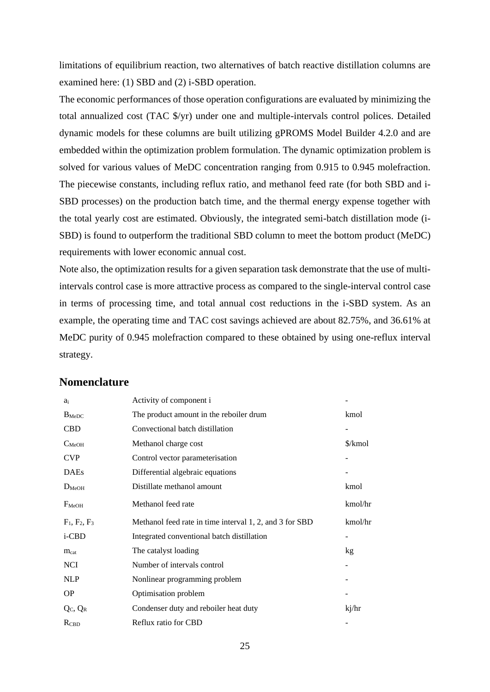limitations of equilibrium reaction, two alternatives of batch reactive distillation columns are examined here: (1) SBD and (2) i-SBD operation.

The economic performances of those operation configurations are evaluated by minimizing the total annualized cost (TAC \$/yr) under one and multiple-intervals control polices. Detailed dynamic models for these columns are built utilizing gPROMS Model Builder 4.2.0 and are embedded within the optimization problem formulation. The dynamic optimization problem is solved for various values of MeDC concentration ranging from 0.915 to 0.945 molefraction. The piecewise constants, including reflux ratio, and methanol feed rate (for both SBD and i-SBD processes) on the production batch time, and the thermal energy expense together with the total yearly cost are estimated. Obviously, the integrated semi-batch distillation mode (i-SBD) is found to outperform the traditional SBD column to meet the bottom product (MeDC) requirements with lower economic annual cost.

Note also, the optimization results for a given separation task demonstrate that the use of multiintervals control case is more attractive process as compared to the single-interval control case in terms of processing time, and total annual cost reductions in the i-SBD system. As an example, the operating time and TAC cost savings achieved are about 82.75%, and 36.61% at MeDC purity of 0.945 molefraction compared to these obtained by using one-reflux interval strategy.

## **Nomenclature**

| $a_i$             | Activity of component i                                 |         |
|-------------------|---------------------------------------------------------|---------|
| $B_{\text{MeDC}}$ | The product amount in the reboiler drum                 | kmol    |
| <b>CBD</b>        | Convectional batch distillation                         |         |
| $C_{MeOH}$        | Methanol charge cost                                    | \$/kmol |
| <b>CVP</b>        | Control vector parameterisation                         |         |
| <b>DAEs</b>       | Differential algebraic equations                        |         |
| $D_{MeOH}$        | Distillate methanol amount                              | kmol    |
| $F_{MeOH}$        | Methanol feed rate                                      | kmol/hr |
|                   |                                                         |         |
| $F_1, F_2, F_3$   | Methanol feed rate in time interval 1, 2, and 3 for SBD | kmol/hr |
| i-CBD             | Integrated conventional batch distillation              |         |
| $m_{cat}$         | The catalyst loading                                    | kg      |
| <b>NCI</b>        | Number of intervals control                             |         |
| <b>NLP</b>        | Nonlinear programming problem                           |         |
| <b>OP</b>         | Optimisation problem                                    |         |
| $Q_C$ , $Q_R$     | Condenser duty and reboiler heat duty                   | kj/hr   |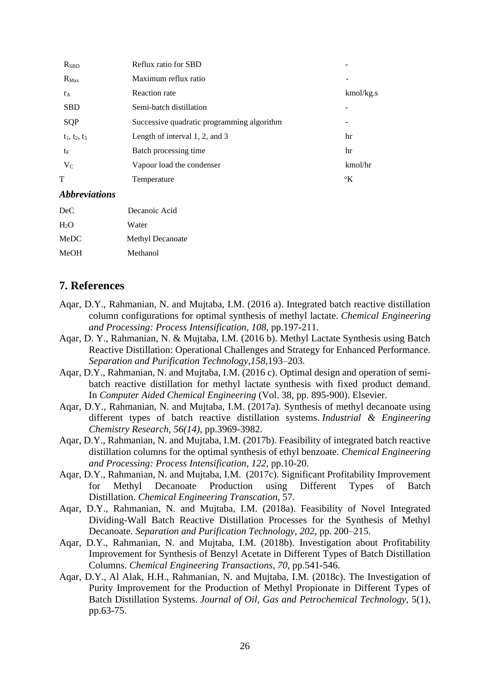| <b>R</b> <sub>SBD</sub>     | Reflux ratio for SBD                       |             |
|-----------------------------|--------------------------------------------|-------------|
| $R_{\text{Max}}$            | Maximum reflux ratio                       |             |
| $r_A$                       | <b>Reaction</b> rate                       | kmol/kg.s   |
| <b>SBD</b>                  | Semi-batch distillation                    |             |
| SQP                         | Successive quadratic programming algorithm | -           |
| $t_1, t_2, t_3$             | Length of interval $1, 2$ , and $3$        | hr          |
| $t_{\rm F}$                 | Batch processing time                      | hr          |
| $V_C$                       | Vapour load the condenser                  | kmol/hr     |
| T                           | Temperature                                | $\rm ^{o}K$ |
| <i><b>Abbreviations</b></i> |                                            |             |
| DeC                         | Decanoic Acid                              |             |

| DeC              | Decanoic Acid           |
|------------------|-------------------------|
| H <sub>2</sub> O | Water                   |
| MeDC             | <b>Methyl Decanoate</b> |
| MeOH             | Methanol                |

# **7. References**

- Aqar, D.Y., Rahmanian, N. and Mujtaba, I.M. (2016 a). Integrated batch reactive distillation column configurations for optimal synthesis of methyl lactate. *Chemical Engineering and Processing: Process Intensification*, *108*, pp.197-211.
- Aqar, D. Y., Rahmanian, N. & Mujtaba, I.M. (2016 b). Methyl Lactate Synthesis using Batch Reactive Distillation: Operational Challenges and Strategy for Enhanced Performance. *Separation and Purification Technology[,158](http://www.sciencedirect.com/science/journal/13835866/158/supp/C)*,193–203.
- Aqar, D.Y., Rahmanian, N. and Mujtaba, I.M. (2016 c). Optimal design and operation of semibatch reactive distillation for methyl lactate synthesis with fixed product demand. In *Computer Aided Chemical Engineering* (Vol. 38, pp. 895-900). Elsevier.
- Aqar, D.Y., Rahmanian, N. and Mujtaba, I.M. (2017a). Synthesis of methyl decanoate using different types of batch reactive distillation systems. *Industrial & Engineering Chemistry Research, 56(14)*, pp.3969-3982.
- Aqar, D.Y., Rahmanian, N. and Mujtaba, I.M. (2017b). Feasibility of integrated batch reactive distillation columns for the optimal synthesis of ethyl benzoate. *Chemical Engineering and Processing: Process Intensification, 122,* pp.10-20.
- Aqar, D.Y., Rahmanian, N. and Mujtaba, I.M. (2017c). Significant Profitability Improvement for Methyl Decanoate Production using Different Types of Batch Distillation. *Chemical Engineering Transcation*, 57.
- Aqar, D.Y., Rahmanian, N. and Mujtaba, I.M. (2018a). Feasibility of Novel Integrated Dividing-Wall Batch Reactive Distillation Processes for the Synthesis of Methyl Decanoate. *Separation and Purification Technology, 202*, pp. 200–215.
- Aqar, D.Y., Rahmanian, N. and Mujtaba, I.M. (2018b). Investigation about Profitability Improvement for Synthesis of Benzyl Acetate in Different Types of Batch Distillation Columns. *Chemical Engineering Transactions*, *70*, pp.541-546.
- Aqar, D.Y., Al Alak, H.H., Rahmanian, N. and Mujtaba, I.M. (2018c). The Investigation of Purity Improvement for the Production of Methyl Propionate in Different Types of Batch Distillation Systems. *Journal of Oil, Gas and Petrochemical Technology*, 5(1), pp.63-75.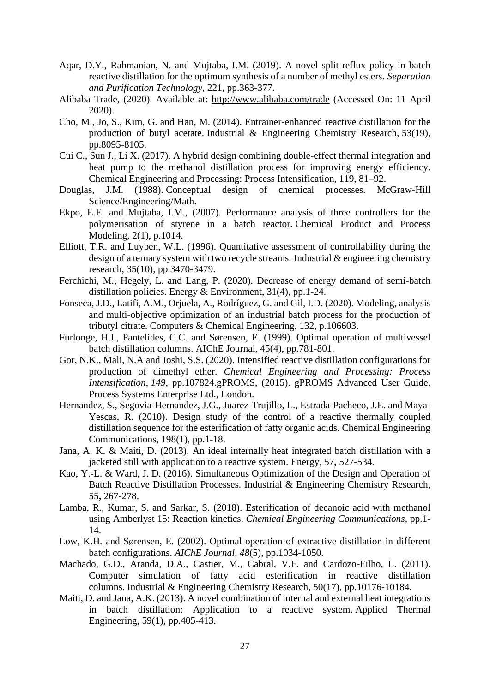- Aqar, D.Y., Rahmanian, N. and Mujtaba, I.M. (2019). A novel split-reflux policy in batch reactive distillation for the optimum synthesis of a number of methyl esters. *Separation and Purification Technology*, 221, pp.363-377.
- Alibaba Trade, (2020). Available at:<http://www.alibaba.com/trade> (Accessed On: 11 April 2020).
- Cho, M., Jo, S., Kim, G. and Han, M. (2014). Entrainer-enhanced reactive distillation for the production of butyl acetate. Industrial & Engineering Chemistry Research, 53(19), pp.8095-8105.
- Cui C., Sun J., Li X. (2017). A hybrid design combining double-effect thermal integration and heat pump to the methanol distillation process for improving energy efficiency. Chemical Engineering and Processing: Process Intensification, 119, 81–92.
- Douglas, J.M. (1988). Conceptual design of chemical processes. McGraw-Hill Science/Engineering/Math.
- Ekpo, E.E. and Mujtaba, I.M., (2007). Performance analysis of three controllers for the polymerisation of styrene in a batch reactor. Chemical Product and Process Modeling, 2(1), p.1014.
- Elliott, T.R. and Luyben, W.L. (1996). Quantitative assessment of controllability during the design of a ternary system with two recycle streams. Industrial  $\&$  engineering chemistry research, 35(10), pp.3470-3479.
- Ferchichi, M., Hegely, L. and Lang, P. (2020). Decrease of energy demand of semi-batch distillation policies. Energy & Environment, 31(4), pp.1-24.
- Fonseca, J.D., Latifi, A.M., Orjuela, A., Rodríguez, G. and Gil, I.D. (2020). Modeling, analysis and multi-objective optimization of an industrial batch process for the production of tributyl citrate. Computers & Chemical Engineering, 132, p.106603.
- Furlonge, H.I., Pantelides, C.C. and Sørensen, E. (1999). Optimal operation of multivessel batch distillation columns. AIChE Journal, 45(4), pp.781-801.
- Gor, N.K., Mali, N.A and Joshi, S.S. (2020). Intensified reactive distillation configurations for production of dimethyl ether. *Chemical Engineering and Processing: Process Intensification*, *149*, pp.107824.gPROMS, (2015). gPROMS Advanced User Guide. Process Systems Enterprise Ltd., London.
- Hernandez, S., Segovia-Hernandez, J.G., Juarez-Trujillo, L., Estrada-Pacheco, J.E. and Maya-Yescas, R. (2010). Design study of the control of a reactive thermally coupled distillation sequence for the esterification of fatty organic acids. Chemical Engineering Communications, 198(1), pp.1-18.
- Jana, A. K. & Maiti, D. (2013). An ideal internally heat integrated batch distillation with a jacketed still with application to a reactive system. Energy, 57**,** 527-534.
- Kao, Y.-L. & Ward, J. D. (2016). Simultaneous Optimization of the Design and Operation of Batch Reactive Distillation Processes. Industrial & Engineering Chemistry Research, 55**,** 267-278.
- Lamba, R., Kumar, S. and Sarkar, S. (2018). Esterification of decanoic acid with methanol using Amberlyst 15: Reaction kinetics. *Chemical Engineering Communications*, pp.1- 14.
- Low, K.H. and Sørensen, E. (2002). Optimal operation of extractive distillation in different batch configurations. *AIChE Journal*, *48*(5), pp.1034-1050.
- Machado, G.D., Aranda, D.A., Castier, M., Cabral, V.F. and Cardozo-Filho, L. (2011). Computer simulation of fatty acid esterification in reactive distillation columns. Industrial & Engineering Chemistry Research, 50(17), pp.10176-10184.
- Maiti, D. and Jana, A.K. (2013). A novel combination of internal and external heat integrations in batch distillation: Application to a reactive system. Applied Thermal Engineering, 59(1), pp.405-413.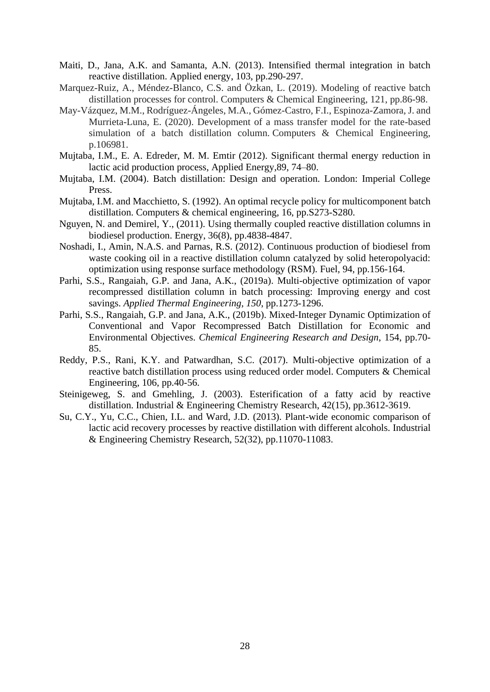- Maiti, D., Jana, A.K. and Samanta, A.N. (2013). Intensified thermal integration in batch reactive distillation. Applied energy, 103, pp.290-297.
- Marquez-Ruiz, A., Méndez-Blanco, C.S. and Özkan, L. (2019). Modeling of reactive batch distillation processes for control. Computers & Chemical Engineering, 121, pp.86-98.
- May-Vázquez, M.M., Rodríguez-Ángeles, M.A., Gómez-Castro, F.I., Espinoza-Zamora, J. and Murrieta-Luna, E. (2020). Development of a mass transfer model for the rate-based simulation of a batch distillation column. Computers & Chemical Engineering, p.106981.
- Mujtaba, I.M., E. A. Edreder, M. M. Emtir (2012). Significant thermal energy reduction in lactic acid production process, Applied Energy,89, 74–80.
- Mujtaba, I.M. (2004). Batch distillation: Design and operation. London: Imperial College Press.
- Mujtaba, I.M. and Macchietto, S. (1992). An optimal recycle policy for multicomponent batch distillation. Computers & chemical engineering, 16, pp.S273-S280.
- Nguyen, N. and Demirel, Y., (2011). Using thermally coupled reactive distillation columns in biodiesel production. Energy, 36(8), pp.4838-4847.
- Noshadi, I., Amin, N.A.S. and Parnas, R.S. (2012). Continuous production of biodiesel from waste cooking oil in a reactive distillation column catalyzed by solid heteropolyacid: optimization using response surface methodology (RSM). Fuel, 94, pp.156-164.
- Parhi, S.S., Rangaiah, G.P. and Jana, A.K., (2019a). Multi-objective optimization of vapor recompressed distillation column in batch processing: Improving energy and cost savings. *Applied Thermal Engineering*, *150*, pp.1273-1296.
- Parhi, S.S., Rangaiah, G.P. and Jana, A.K., (2019b). Mixed-Integer Dynamic Optimization of Conventional and Vapor Recompressed Batch Distillation for Economic and Environmental Objectives. *Chemical Engineering Research and Design*, 154, pp.70- 85.
- Reddy, P.S., Rani, K.Y. and Patwardhan, S.C. (2017). Multi-objective optimization of a reactive batch distillation process using reduced order model. Computers & Chemical Engineering, 106, pp.40-56.
- Steinigeweg, S. and Gmehling, J. (2003). Esterification of a fatty acid by reactive distillation. Industrial & Engineering Chemistry Research, 42(15), pp.3612-3619.
- Su, C.Y., Yu, C.C., Chien, I.L. and Ward, J.D. (2013). Plant-wide economic comparison of lactic acid recovery processes by reactive distillation with different alcohols. Industrial & Engineering Chemistry Research, 52(32), pp.11070-11083.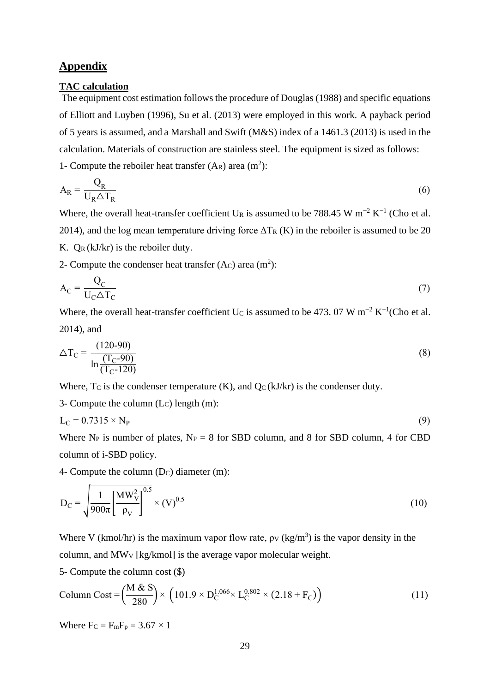# **Appendix**

### **TAC calculation**

The equipment cost estimation follows the procedure of Douglas (1988) and specific equations of Elliott and Luyben (1996), Su et al. (2013) were employed in this work. A payback period of 5 years is assumed, and a Marshall and Swift (M&S) index of a 1461.3 (2013) is used in the calculation. Materials of construction are stainless steel. The equipment is sized as follows: 1- Compute the reboiler heat transfer  $(A_R)$  area  $(m^2)$ :

$$
A_R = \frac{Q_R}{U_R \Delta T_R}
$$
 (6)

Where, the overall heat-transfer coefficient U<sub>R</sub> is assumed to be 788.45 W m<sup>-2</sup> K<sup>-1</sup> (Cho et al. 2014), and the log mean temperature driving force  $\Delta T_R$  (K) in the reboiler is assumed to be 20 K.  $O_R(kJ/kr)$  is the reboiler duty.

2- Compute the condenser heat transfer  $(Ac)$  area  $(m^2)$ :

$$
A_C = \frac{Q_C}{U_C \triangle T_C} \tag{7}
$$

Where, the overall heat-transfer coefficient U<sub>C</sub> is assumed to be 473. 07 W m<sup>-2</sup> K<sup>-1</sup>(Cho et al. 2014), and

$$
\Delta T_{\rm C} = \frac{(120-90)}{\ln \frac{(T_{\rm C}-90)}{(T_{\rm C}-120)}}
$$
(8)

Where,  $T_c$  is the condenser temperature  $(K)$ , and  $Q_c(kJ/kr)$  is the condenser duty.

3- Compute the column  $(L<sub>C</sub>)$  length  $(m)$ :

$$
L_C = 0.7315 \times N_P \tag{9}
$$

Where N<sub>P</sub> is number of plates,  $N_P = 8$  for SBD column, and 8 for SBD column, 4 for CBD column of i-SBD policy.

4- Compute the column  $(D_C)$  diameter  $(m)$ :

$$
D_C = \sqrt{\frac{1}{900\pi} \left[\frac{MW_V^2}{\rho_V}\right]^{0.5}} \times (V)^{0.5}
$$
 (10)

Where V (kmol/hr) is the maximum vapor flow rate,  $\rho_V$  (kg/m<sup>3</sup>) is the vapor density in the column, and MW<sup>V</sup> [kg/kmol] is the average vapor molecular weight.

5- Compute the column cost (\$)

Column Cost = 
$$
\left(\frac{M \& S}{280}\right) \times \left(101.9 \times D_C^{1.066} \times L_C^{0.802} \times (2.18 + F_C)\right)
$$
 (11)

Where  $Fc = F_mF_p = 3.67 \times 1$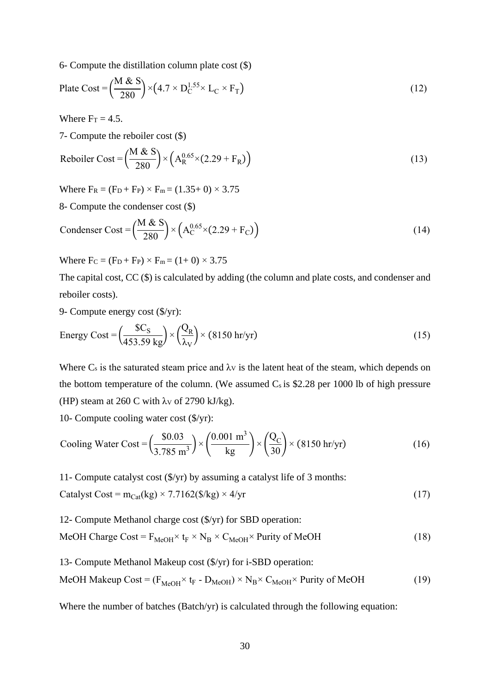6- Compute the distillation column plate cost (\$)

$$
\text{Place Cost} = \left(\frac{\text{M} \& \text{S}}{280}\right) \times \left(4.7 \times \text{D}_{\text{C}}^{1.55} \times \text{L}_{\text{C}} \times \text{F}_{\text{T}}\right) \tag{12}
$$

Where  $Fr = 4.5$ .

7- Compute the reboiler cost (\$)

$$
\text{Reboiler Cost} = \left(\frac{\text{M} \& \text{S}}{280}\right) \times \left(\text{A}_{\text{R}}^{0.65} \times (2.29 + \text{F}_{\text{R}})\right) \tag{13}
$$

Where  $F_R = (F_D + F_P) \times F_m = (1.35 + 0) \times 3.75$ 

8- Compute the condenser cost (\$)

$$
\text{Condenser Cost} = \left(\frac{M \& S}{280}\right) \times \left(A_C^{0.65} \times (2.29 + F_C)\right) \tag{14}
$$

Where  $F_C = (F_D + F_P) \times F_m = (1 + 0) \times 3.75$ 

The capital cost, CC (\$) is calculated by adding (the column and plate costs, and condenser and reboiler costs).

9- Compute energy cost (\$/yr):

Energy Cost = 
$$
\left(\frac{$C_S}{453.59 \text{ kg}}\right) \times \left(\frac{Q_R}{\lambda_V}\right) \times (8150 \text{ hr/yr})
$$
 (15)

Where  $C_s$  is the saturated steam price and  $\lambda_V$  is the latent heat of the steam, which depends on the bottom temperature of the column. (We assumed  $C_s$  is \$2.28 per 1000 lb of high pressure (HP) steam at 260 C with  $\lambda$ v of 2790 kJ/kg).

10- Compute cooling water cost (\$/yr):

$$
\text{Cooling Water Cost} = \left(\frac{\$0.03}{3.785 \text{ m}^3}\right) \times \left(\frac{0.001 \text{ m}^3}{\text{kg}}\right) \times \left(\frac{Q_C}{30}\right) \times (8150 \text{ hr/yr}) \tag{16}
$$

11- Compute catalyst cost (\$/yr) by assuming a catalyst life of 3 months:

$$
Catalyst Cost = m_{Cat}(kg) \times 7.7162(\text{$\mathcal{S}/kg$}) \times 4/\text{yr}
$$
 (17)

12- Compute Methanol charge cost (\$/yr) for SBD operation:

MeOH Charge Cost =  $F_{MeOH} \times t_F \times N_B \times C_{MeOH} \times$  Purity of MeOH (18)

13- Compute Methanol Makeup cost (\$/yr) for i-SBD operation:

MeOH Makeup Cost = 
$$
(F_{MeOH} \times t_F - D_{MeOH}) \times N_B \times C_{MeOH} \times
$$
 Purity of MeOH (19)

Where the number of batches (Batch/yr) is calculated through the following equation: